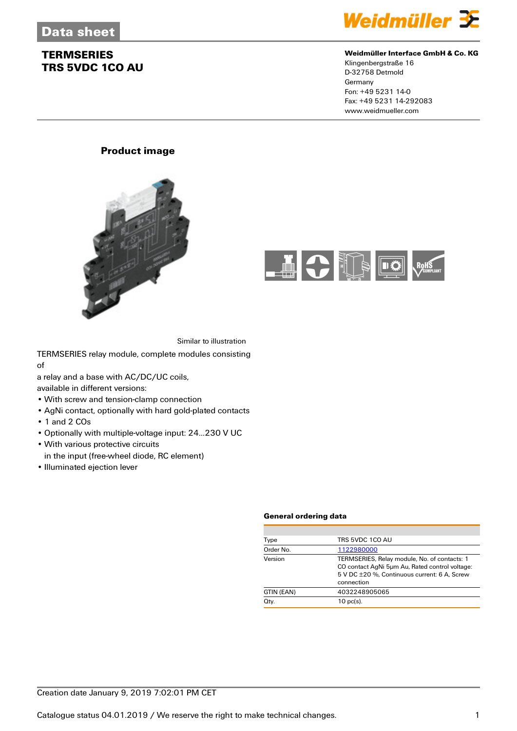

#### **Weidmüller Interface GmbH & Co. KG**

Klingenbergstraße 16 D-32758 Detmold Germany Fon: +49 5231 14-0 Fax: +49 5231 14-292083 www.weidmueller.com

### **Product image**





Similar to illustration

TERMSERIES relay module, complete modules consisting of

a relay and a base with AC/DC/UC coils,

available in different versions:

- With screw and tension-clamp connection
- AgNi contact, optionally with hard gold-plated contacts
- 1 and 2 COs
- Optionally with multiple-voltage input: 24...230 V UC
- With various protective circuits
- in the input (free-wheel diode, RC element)
- Illuminated ejection lever

#### **General ordering data**

| Type       | TRS 5VDC 1CO AU                                                                                                                                              |
|------------|--------------------------------------------------------------------------------------------------------------------------------------------------------------|
| Order No.  | 1122980000                                                                                                                                                   |
| Version    | TERMSERIES, Relay module, No. of contacts: 1<br>CO contact AgNi 5um Au, Rated control voltage:<br>5 V DC ±20 %, Continuous current: 6 A, Screw<br>connection |
| GTIN (EAN) | 4032248905065                                                                                                                                                |
| Qty.       | $10$ pc(s).                                                                                                                                                  |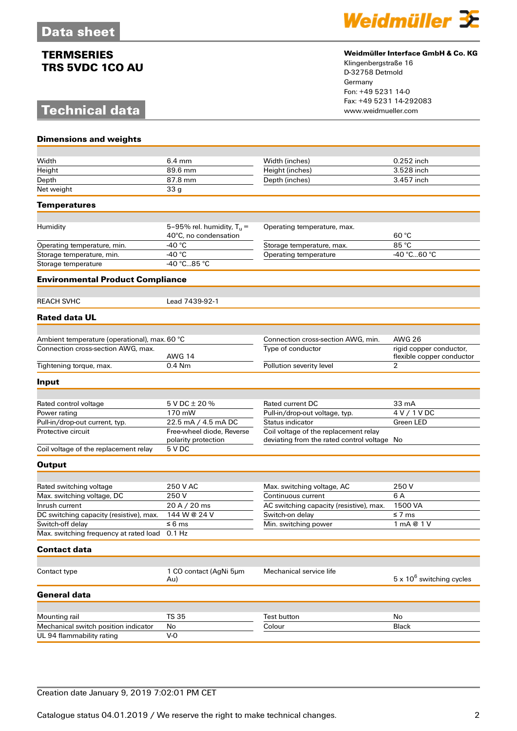# **Technical data**

**Dimensions and weights**



#### **Weidmüller Interface GmbH & Co. KG**

Klingenbergstraße 16 D-32758 Detmold Germany Fon: +49 5231 14-0 Fax: +49 5231 14-292083

| Width                                         | $6.4 \text{ mm}$              | Width (inches)                              | 0.252 inch                                           |
|-----------------------------------------------|-------------------------------|---------------------------------------------|------------------------------------------------------|
| Height                                        | 89.6 mm                       | Height (inches)                             | 3.528 inch                                           |
| Depth                                         | 87.8 mm                       | Depth (inches)                              | 3.457 inch                                           |
| Net weight                                    | 33 g                          |                                             |                                                      |
| Temperatures                                  |                               |                                             |                                                      |
|                                               |                               |                                             |                                                      |
| Humidity                                      | 5-95% rel. humidity, $T_u =$  | Operating temperature, max.                 |                                                      |
|                                               | 40°C, no condensation         |                                             | 60 °C                                                |
| Operating temperature, min.                   | -40 °C                        | Storage temperature, max.                   | 85 °C                                                |
| Storage temperature, min.                     | -40 $^{\circ}$ C              | Operating temperature                       | -40 °C60 °C                                          |
| Storage temperature                           | -40 °C85 °C                   |                                             |                                                      |
| <b>Environmental Product Compliance</b>       |                               |                                             |                                                      |
|                                               |                               |                                             |                                                      |
| <b>REACH SVHC</b>                             | Lead 7439-92-1                |                                             |                                                      |
| <b>Rated data UL</b>                          |                               |                                             |                                                      |
|                                               |                               |                                             |                                                      |
| Ambient temperature (operational), max. 60 °C |                               | Connection cross-section AWG, min.          | <b>AWG 26</b>                                        |
| Connection cross-section AWG, max.            | <b>AWG 14</b>                 | Type of conductor                           | rigid copper conductor,<br>flexible copper conductor |
| Tightening torque, max.                       | 0.4 Nm                        | Pollution severity level                    | $\overline{2}$                                       |
| Input                                         |                               |                                             |                                                      |
|                                               |                               |                                             |                                                      |
| Rated control voltage                         | 5 V DC ± 20 %                 | Rated current DC                            | 33 mA                                                |
| Power rating                                  | 170 mW                        | Pull-in/drop-out voltage, typ.              | 4 V / 1 V D C                                        |
| Pull-in/drop-out current, typ.                | 22.5 mA / 4.5 mA DC           | Status indicator                            | <b>Green LED</b>                                     |
| Protective circuit                            | Free-wheel diode, Reverse     | Coil voltage of the replacement relay       |                                                      |
|                                               | polarity protection           | deviating from the rated control voltage No |                                                      |
| Coil voltage of the replacement relay         | 5 V DC                        |                                             |                                                      |
| <b>Output</b>                                 |                               |                                             |                                                      |
|                                               |                               |                                             |                                                      |
| Rated switching voltage                       | 250 V AC                      | Max. switching voltage, AC                  | 250V                                                 |
| Max. switching voltage, DC                    | 250V                          | Continuous current                          | 6 A                                                  |
| Inrush current                                | 20 A / 20 ms                  | AC switching capacity (resistive), max.     | 1500 VA                                              |
| DC switching capacity (resistive), max.       | 144 W @ 24 V                  | Switch-on delay                             | $\leq 7$ ms                                          |
| Switch-off delay                              | $\leq 6$ ms                   | Min. switching power                        | 1 mA @ 1 V                                           |
| Max. switching frequency at rated load 0.1 Hz |                               |                                             |                                                      |
| <b>Contact data</b>                           |                               |                                             |                                                      |
|                                               |                               |                                             |                                                      |
| Contact type                                  | 1 CO contact (AgNi 5µm<br>Au) | Mechanical service life                     | $5 \times 10^6$ switching cycles                     |
| <b>General data</b>                           |                               |                                             |                                                      |
|                                               |                               |                                             |                                                      |
| Mounting rail                                 | <b>TS 35</b>                  | <b>Test button</b>                          | No                                                   |
| Mechanical switch position indicator          | No                            | Colour                                      | <b>Black</b>                                         |
| UL 94 flammability rating                     | $V-0$                         |                                             |                                                      |

### Creation date January 9, 2019 7:02:01 PM CET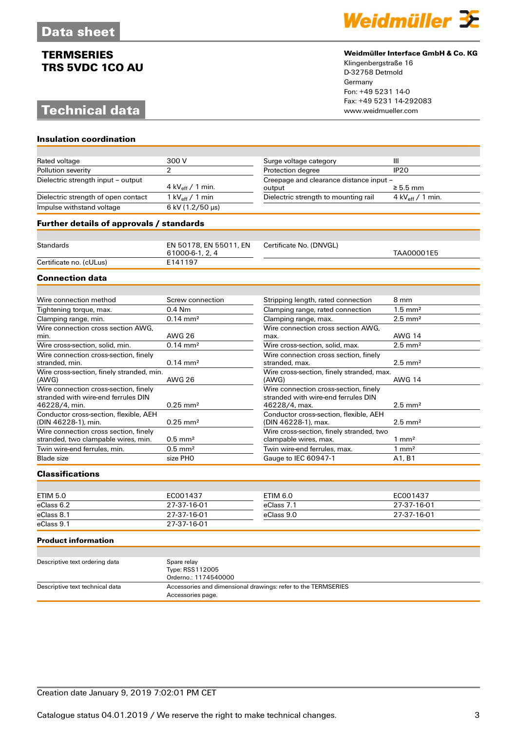# **Technical data**

**Insulation coordination**



#### **Weidmüller Interface GmbH & Co. KG**

Klingenbergstraße 16 D-32758 Detmold Germany Fon: +49 5231 14-0 Fax: +49 5231 14-292083

| Rated voltage                                                                | 300 V                                     | Surge voltage category                                                       | Ш                             |
|------------------------------------------------------------------------------|-------------------------------------------|------------------------------------------------------------------------------|-------------------------------|
| Pollution severity                                                           | 2                                         | Protection degree                                                            | IP20                          |
| Dielectric strength input - output                                           |                                           | Creepage and clearance distance input -                                      |                               |
|                                                                              | 4 kV $_{\rm eff}$ / 1 min.                | output                                                                       | $\geq 5.5$ mm                 |
| Dielectric strength of open contact                                          | 1 kV $_{\rm eff}$ / 1 min                 | Dielectric strength to mounting rail                                         | 4 kV $_{\text{eff}}$ / 1 min. |
| Impulse withstand voltage                                                    | 6 kV (1.2/50 µs)                          |                                                                              |                               |
| Further details of approvals / standards                                     |                                           |                                                                              |                               |
|                                                                              |                                           |                                                                              |                               |
| <b>Standards</b>                                                             | EN 50178, EN 55011, EN<br>61000-6-1, 2, 4 | Certificate No. (DNVGL)                                                      | TAA00001E5                    |
| Certificate no. (cULus)                                                      | E141197                                   |                                                                              |                               |
| <b>Connection data</b>                                                       |                                           |                                                                              |                               |
|                                                                              |                                           |                                                                              |                               |
| Wire connection method                                                       | Screw connection                          | Stripping length, rated connection                                           | 8 mm                          |
| Tightening torque, max.                                                      | $0.4$ Nm                                  | Clamping range, rated connection                                             | $1.5 \text{ mm}^2$            |
| Clamping range, min.                                                         | $0.14 \, \text{mm}^2$                     | Clamping range, max.                                                         | $2.5$ mm <sup>2</sup>         |
| Wire connection cross section AWG.                                           |                                           | Wire connection cross section AWG.                                           |                               |
| min.                                                                         | <b>AWG 26</b>                             | max.                                                                         | <b>AWG 14</b>                 |
| Wire cross-section, solid, min.                                              | $0.14 \, \text{mm}^2$                     | Wire cross-section, solid, max.                                              | $2.5$ mm <sup>2</sup>         |
| Wire connection cross-section, finely                                        |                                           | Wire connection cross section, finely                                        |                               |
| stranded, min.                                                               | $0.14 \, \text{mm}^2$                     | stranded, max.                                                               | $2.5$ mm <sup>2</sup>         |
| Wire cross-section, finely stranded, min.<br>(AWG)                           | <b>AWG 26</b>                             | Wire cross-section, finely stranded, max.<br>(AWG)                           | <b>AWG 14</b>                 |
| Wire connection cross-section, finely<br>stranded with wire-end ferrules DIN |                                           | Wire connection cross-section, finely<br>stranded with wire-end ferrules DIN |                               |
| 46228/4, min.                                                                | $0.25$ mm <sup>2</sup>                    | 46228/4, max.                                                                | $2.5$ mm <sup>2</sup>         |

| Blade size             | size PHO | Gauge to IEC 60947-1 | A <sub>1</sub> , B <sub>1</sub> |
|------------------------|----------|----------------------|---------------------------------|
| <b>Classifications</b> |          |                      |                                 |

Conductor cross-section, flexible, AEH

Wire connection cross section, finely

(DIN 46228-1), min. 0.25 mm<sup>2</sup>

stranded, two clampable wires, min.  $0.5 \text{ mm}^2$ <br>Twin wire-end ferrules, min.  $0.5 \text{ mm}^2$ 

| ETIM 5.0   | EC001437    | <b>ETIM 6.0</b> | EC001437    |
|------------|-------------|-----------------|-------------|
| eClass 6.2 | 27-37-16-01 | eClass 7.1      | 27-37-16-01 |
| eClass 8.1 | 27-37-16-01 | eClass 9.0      | 27-37-16-01 |
| eClass 9.1 | 27-37-16-01 |                 |             |

Conductor cross-section, flexible, AEH

Wire cross-section, finely stranded, two

Twin wire-end ferrules, max.

(DIN 46228-1), max. 2.5 mm²

clampable wires, max.  $\frac{1}{2}$  mm<sup>2</sup><br>Twin wire-end ferrules, max.  $\frac{1}{2}$  mm<sup>2</sup>

#### **Product information**

| Descriptive text ordering data  | Spare relay                                                   |
|---------------------------------|---------------------------------------------------------------|
|                                 | Type: RSS112005                                               |
|                                 | Orderno.: 1174540000                                          |
| Descriptive text technical data | Accessories and dimensional drawings: refer to the TERMSERIES |
|                                 | Accessories page.                                             |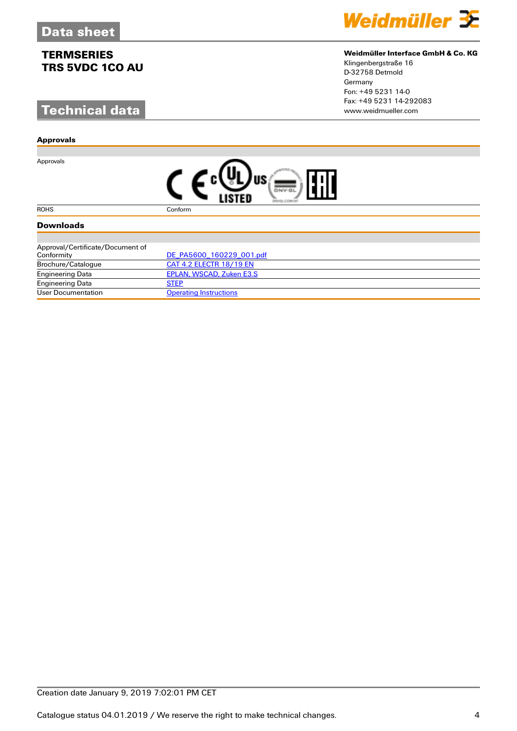# **Technical data**

#### **Approvals**

Approvals



### **Weidmüller Interface GmbH & Co. KG**

Klingenbergstraße 16 D-32758 Detmold Germany Fon: +49 5231 14-0 Fax: +49 5231 14-292083

|--|

ROHS Conform

### **Downloads**

| Approval/Certificate/Document of |                               |
|----------------------------------|-------------------------------|
| Conformity                       | DE PA5600 160229 001.pdf      |
| Brochure/Catalogue               | CAT 4.2 ELECTR 18/19 EN       |
| <b>Engineering Data</b>          | EPLAN, WSCAD, Zuken E3.S      |
| <b>Engineering Data</b>          | <b>STEP</b>                   |
| User Documentation               | <b>Operating Instructions</b> |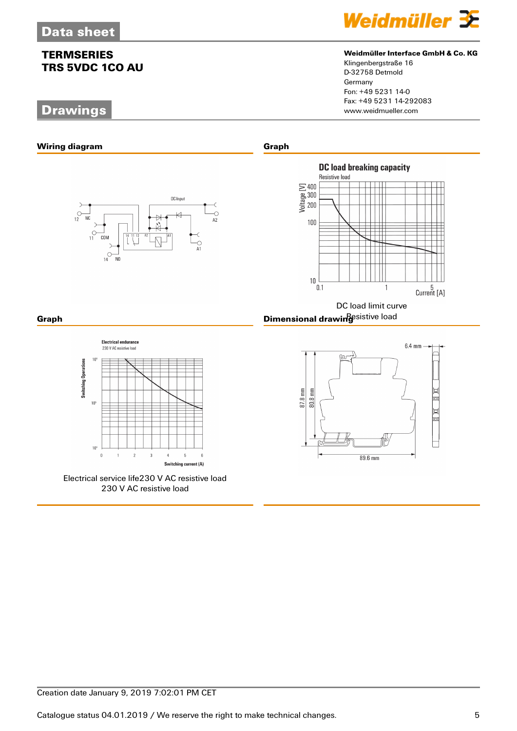# **Drawings**



#### **Weidmüller Interface GmbH & Co. KG**

Klingenbergstraße 16 D-32758 Detmold Germany Fon: +49 5231 14-0 Fax: +49 5231 14-292083